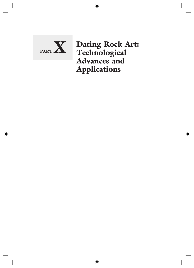

 $\bigoplus$ 

 **PART X Dating Rock Art: Technological Advances and Applications** 

 $\bigoplus$ 

 $\bigoplus$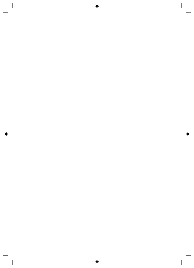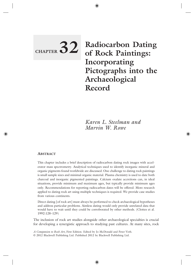

 **CHAPTER 32 Radiocarbon Dating of Rock Paintings: Incorporating Pictographs into the Archaeological Record** 

> *Karen L.Steelmanand Marvin W.Rowe*

> > ⊕

## **ABSTRACT**

⊕

This chapter includes a brief description of radiocarbon dating rock images with accelerator mass spectrometry. Analytical techniques used to identify inorganic mineral and organic pigments found worldwide are discussed. One challenge to dating rock paintings is small sample sizes and minimal organic material. Plasma chemistry is used to date both charcoal and inorganic pigmented paintings. Calcium oxalate accretions can, in ideal situations, provide minimum and maximum ages, but typically provide minimum ages only. Recommendations for reporting radiocarbon dates will be offered. More research applied to dating rock art using multiple techniques is required. We provide case studies from various continents.

⊕

Direct dating [of rock art] must always be performed to check archaeological hypotheses and address particular problems. Aimless dating would only provide unrelated data that would have to wait until they could be corroborated by other methods. (Clottes et al. 1992 :128 – 129)

The inclusion of rock art studies alongside other archaeological specialties is crucial for developing a synergistic approach to studying past cultures. At many sites, rock

⊕

*A Companion to Rock Art*, First Edition. Edited by Jo McDonald and Peter Veth.

© 2012 Blackwell Publishing Ltd. Published 2012 by Blackwell Publishing Ltd.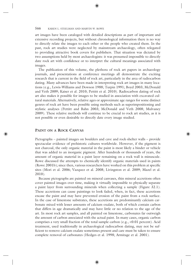art images have been cataloged with detailed descriptions as part of important and extensive recording projects, but without chronological information there is no way to directly relate the images to each other or the people who created them. In the past, rock art studies were neglected by mainstream archaeology, often relegated to providing attractive book covers for publishers. That situation was dictated by two assumptions held by most archaeologists: it was presumed impossible to directly date rock art with confidence or to interpret the cultural meanings associated with images.

⊕

The publication of this volume, the plethora of rock art papers in archaeology journals, and presentations at conference meetings all demonstrate the exciting research that is current in the field of rock art, particularly in the area of radiocarbon dating. Many advances have been made in interpreting rock art images in many locations (e.g., Lewis-Williams and Dowson 1988; Turpin 1991; Boyd 2003; McDonald and Veth 2009; Kaiser et al. 2010; Pettitt et al. 2010). Radiocarbon dating of rock art also makes it possible for images to be studied in association with excavated cultural materials. Alternatively, relative ages or approximate age ranges for some distinct genres of rock art have been possible using methods such as superimpositioning and stylistic analyses (Pettitt and Bahn 2003; McDonald and Veth 2008; Mulvaney 2009 ). These relative methods will continue to be crucial to rock art studies, as it is not possible or even desirable to directly date every image studied.

# **PAINT ON A ROCK CANVAS**

Pictographs – painted images on boulders and cave and rock-shelter walls – provide spectacular evidence of prehistoric cultures worldwide. However, if the pigment is not charcoal, the only organic material in the paint is most likely a binder or vehicle that was added to an inorganic pigment. After hundreds or thousands of years, the amount of organic material in a paint layer remaining on a rock wall is minuscule. Rowe discussed the attempts to chemically identify organic materials used in paints (Rowe 2001b); since then, various researchers have worked on this problem at specific sites (Mori et al. 2006; Vazquez et al. 2008; Livingston et al. 2009; Mazel et al.  $2010$ ).

⊕

Because pictographs are painted on mineral canvases, thin mineral accretions often cover painted images over time, making it virtually impossible to physically separate a paint layer from surrounding minerals when collecting a sample (Figure 32.1 ). These accretions can cause paintings to look faded, when, in fact, these accretions encase the paint and may have prevented erosion of the paint from a rock surface. In the case of limestone substrates, these accretions are predominantly calcium carbonate mixed with lesser amounts of calcium oxalate, both of which contain carbon that differs in age dramatically and may have little or no relation to the age of the art. In most rock art samples, and all painted on limestone, carbonates far outweigh the amount of carbon associated with the actual paint. In many cases, organic carbon comprises a very small fraction of the total sample carbon (e.g., <0.01 percent). Acid treatment, used traditionally in archaeological radiocarbon dating, may not be sufficient to remove calcium oxalate sometimes present and care must be taken to ensure complete removal of carbonates (Hedges et al. 1998; Armitage et al. 2001).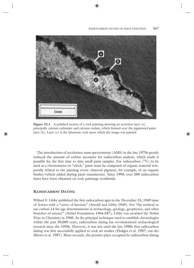### RADIOCARBON DATING OF ROCK PAINTINGS 567

⊕



⊕

**Figure 32.1** A polished section of a rock painting showing an accretion layer (a), principally calcium carbonate and calcium oxalate, which formed over the pigmented paint layer (b). Layer (c) is the limestone rock upon which the image was painted.

The introduction of accelerator mass spectrometry (AMS) in the late 1970s greatly reduced the amount of carbon necessary for radiocarbon analysis, which made it possible for the first time to date small paint samples. For radiocarbon  $(^{14}C)$  to be used as a chronometer or "clock," paint must be composed of organic material temporally related to the painting event: charcoal pigment, for example, or an organic binder/vehicle added during paint manufacture. Since 1990, over 200 radiocarbon dates have been obtained on rock paintings worldwide.

# **RADIOCARBON DATING**

⊕

Willard F. Libby published the first radiocarbon ages in the December 23, 1949 issue of *Science* with a "curve of knowns" (Arnold and Libby 1949). For "his method to use carbon - 14 for age determinations in archaeology, geology, geophysics, and other branches of science "(Nobel Foundation 1964 :587), Libby was awarded the Nobel Prize in Chemistry in 1960. As the principal technique used to establish chronologies within the past 50,000 years, radiocarbon dating has revolutionized archaeological research since the 1950s. However, it was not until the late 1980s that radiocarbon dating was first successfully applied to rock art studies (Hedges et al. 1987; van der Merwe et al. 1987 ). More recently, the premier place occupied by radiocarbon dating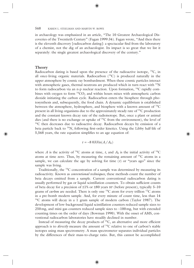in archaeology was emphasized in an article, " The 10 Greatest Archaeological Discoveries of the Twentieth Century" (Fagan 1999:34). Fagan wrote, "And then there is the eleventh discovery [radiocarbon dating]: a spectacular find from the laboratory of a chemist, not the dig of an archaeologist. Its impact is so great that we list it separately: the single greatest archaeological discovery of the century. "

⊕

## **Theory**

⊕

Radiocarbon dating is based upon the presence of the radioactive isotope,  $^{14}C$ , in all once-living organic materials. Radiocarbon  $(^{14}C)$  is produced naturally in the upper atmosphere by cosmic ray bombardment. When these cosmic particles interact with atmospheric gases, thermal neutrons are produced which in turn react with  $14N$ to form radiocarbon via an n-p nuclear reaction. Upon formation,  $^{14}C$  rapidly combines with oxygen to form  ${}^{14}CO_2$  and within hours mixes with atmospheric carbon dioxide initiating the carbon cycle. Radiocarbon enters the biosphere through photosynthesis and, subsequently, the food chain. A dynamic equilibrium is established between the atmosphere, hydrosphere, and biosphere with a known amount of  ${}^{14}C$ present in all living organisms due to the approximately steady rate of  ${}^{14}C$  production and the constant known decay rate of the radioisotope. But, once a plant or animal dies (and there is no exchange or uptake of  $^{14}$ C from the environment), the level of  $^{14}$ C then decreases due to radioactive decay. Radiocarbon decays by emission of a beta particle back to  $14N$ , following first-order kinetics. Using the Libby half-life of 5,568 years, the rate equation simplifies to an age equation of:

$$
t = -8033\ln(A/A_0)
$$

⊕

where *A* is the activity of <sup>14</sup>C atoms at time, *t*, and  $A_0$  is the initial activity of <sup>14</sup>C atoms at time zero. Thus, by measuring the remaining amount of  $^{14}C$  atoms in a sample, we can calculate the age by solving for time  $(t)$  or "years ago" since the sample was living.

Traditionally, the 14C concentration of a sample was determined by measuring its radioactivity. Known as *conventional techniques*, these methods count the number of beta decays emitted from a sample. Current conventional radiocarbon dating is usually performed by gas or liquid scintillation counters. To obtain sufficient counts of beta decay for a precision of  $\pm 1\%$  or  $\pm 80$  years BP (before present), typically 5–10 grams of *carbon* are needed. There is only one  ${}^{14}C$  atom for every trillion  ${}^{12}C$  atoms in a pre-bomb modern sample. And, for every minute of count time, less than  $14$   $^{14}$ C atoms will decay in a 1 gram sample of modern carbon (Taylor 1987). The development of low - background liquid scintillation counters reduced sample sizes to 250 mg, and mini-gas counters reduced sample sizes to ~100 mg, but with extended counting times on the order of days (Bowman 1990). With the onset of AMS, conventional radiocarbon laboratories have steadily declined in number.

Instead of measuring the decay products of  $^{14}C$ , an alternative and more efficient approach is to *directly* measure the amount of  $^{14}$ C relative to one of carbon's stable isotopes using mass spectrometry. A mass spectrometer separates individual particles by the differences of their mass-to-charge ratio. But, this cannot be accomplished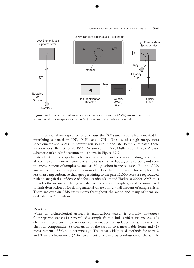

⊕

**Figure 32.2** Schematic of an accelerator mass spectrometry (AMS) instrument. This technique allows samples as small as 50 μg carbon to be radiocarbon dated.

using traditional mass spectrometry because the  ${}^{14}C^+$  signal is completely masked by interfering isobars from  $^{14}N^+$ ,  $^{13}CH^+$ , and  $^{12}CH_2^+$ . The use of a high-energy mass spectrometer and a cesium sputter ion source in the late 1970s eliminated these interferences (Bennett et al. 1977; Nelson et al. 1977; Muller et al. 1978). A basic schematic of an AMS instrument is shown in Figure 32.2 .

Accelerator mass spectrometry revolutionized archaeological dating, and now allows the routine measurement of samples as small as  $100 \mu$ g pure carbon, and even the measurement of samples as small as 50 μg carbon in special cases. Routine AMS analysis achieves an analytical precision of better than 0.5 percent for samples with less than 1 mg carbon, so that ages pertaining to the past 12,000 years are reproduced with an analytical confidence of a few decades (Scott and Harkness 2000). AMS thus provides the means for dating valuable artifacts where sampling must be minimized to limit destruction or for dating material where only a small amount of sample exists. There are over 30 AMS instruments throughout the world and many of them are dedicated to 14C analysis.

## **Practice**

⊕

When an archaeological artifact is radiocarbon dated, it typically undergoes four separate steps: (1) removal of a sample from a bulk artifact for analysis; (2) chemical pretreatment to remove contamination or isolation of sample-specific chemical compounds; (3) conversion of the carbon to a measurable form; and (4) measurement of  $^{14}$ C to determine age. The most widely used methods for steps 2 and 3 are acid–base–acid (ABA) treatments, followed by combustion of the sample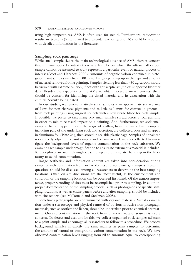using high temperatures. AMS is often used for step 4. Furthermore, radiocarbon results are typically (5) calibrated to a calendar age range and (6) should be reported with detailed information in the literature.

⊕

## **Sampling rock paintings**

While small sample size is the main technological advance of AMS, there is concern that in many applied contexts there is a limit below which the ultra-small carbon sample cannot be assumed to truly represent a particular event or natural process of interest (Scott and Harkness 2000). Amounts of organic carbon contained in pictograph paint samples vary from 100 μg to 1 mg, depending upon the type and amount of material removed from a painting. Samples yielding less than ∼ 50 μg carbon should be viewed with extreme caution, if not outright skepticism, unless supported by other data. Besides the capability of the AMS to obtain accurate measurements, there should be concern for identifying the dated material and its association with the cultural "event" being dated.

In our studies, we remove relatively small samples – an approximate surface area of  $2 \text{ cm}^2$  for non-charcoal pigments and as little as 1 mm<sup>2</sup> for charcoal pigments – from rock paintings using surgical scalpels with a new sterile blade for each sample. If possible, we prefer to take many very small samples spread across a rock painting in order to minimize visual impact on a painting. And, furthermore, we seek small samples that are apparently on the verge of spalling from the walls. Paint samples, including part of the underlying rock and accretion, are collected over and wrapped in aluminum foil (Plate 24 ), then stored in sealable plastic bags. Samples of unpainted rock directly adjacent to paint samples and on similar rock are also collected to investigate the background levels of organic contamination in the rock substrate. We examine each sample under magnification to ensure no extraneous material is included. Rubber gloves are worn throughout sampling and during later handling in the laboratory to avoid contamination.

⊕

Image aesthetics and information content are taken into consideration during sampling with consultation from archaeologists and site owners/managers. Research questions should be discussed among all researchers to determine the best sampling locations. Often on-site discussions are the most useful, as the environment and condition of the sampling location can be observed first-hand. Of the utmost importance, proper recording of sites must be accomplished prior to sampling. In addition, proper documentation of the sampling process, such as photographs of specifi c sampling locations, as well as entire panels before and after sampling, should be included with site reports (see McDonald and Steelman 2008 ).

Sometimes pictographs are contaminated with organic materials. Visual examination under a stereoscope and physical removal of obvious intrusive non - pictograph materials, such as rootlets and lichen, should be undertaken prior to chemical pretreatment. Organic contamination in the rock from unknown natural sources is also a concern. To detect and account for this, we collect unpainted rock samples adjacent to a paint sample and encourage all researchers to follow this procedure. We process background samples in exactly the same manner as paint samples to determine the amount of natural or background carbon contamination in the rock. We have observed contamination levels ranging from nil to amounts equal to corresponding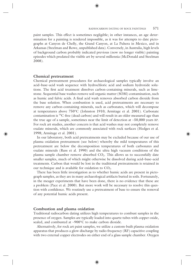

### RADIOCARBON DATING OF ROCK PAINTINGS 571

⊕

paint samples. This effect is sometimes negligible; in other instances, an age determination for a painting is rendered impossible, as it was for attempts to date pictographs at Canyon de Chelly, the Grand Canyon, at La Pulsera in Mexico, and in Arkansas (Steelman and Rowe, unpublished data). Conversely, in Australia, high levels of background carbon probably indicated previous (now no longer visible) painting episodes which predated the visible art by several millennia (McDonald and Steelman 2008 ).

#### **Chemical pretreatment**

Chemical pretreatment procedures for archaeological samples typically involve an acid – base – acid wash sequence with hydrochloric acid and sodium hydroxide solutions. The first acid treatment dissolves carbon-containing minerals, such as limestone. Sequential base washes remove soil organic matter (SOM) contamination, such as humic and fulvic acids. A final acid wash removes absorbed carbon dioxide from the base solution. When combustion is used, acid pretreatments are necessary to remove any carbon-containing minerals, such as carbonates, which will decompose at temperatures above 750°C (Johnston 1910; Armitage et al. 2001). Carbonate contamination is  ${}^{14}C$ -free (dead carbon) and will result in an older measured age than the true age of a sample, sometimes near the limit of detection at ∼50,000 years BP . For rock art studies, another concern is that acid washes may not completely remove oxalate minerals, which are commonly associated with rock surfaces (Hedges et al. 1998; Armitage et al. 2001).

In our laboratory, both acid pretreatments may be excluded because of our use of plasma oxidation pretreatment (see below) whereby the mild temperatures of this pretreatment are below the decomposition temperatures of both carbonates and oxalate minerals (Russ et al. 1990 ) and the ultra high vacuum conditions of the plasma sample chamber remove absorbed  $CO<sub>2</sub>$ . This allows us to successfully date smaller samples, much of which might otherwise be dissolved during acid-base-acid treatments. Carbon that would be lost in the traditional pretreatments is retained in our technique and is available for oxidation to  $CO<sub>2</sub>$ .

There has been little investigation as to whether humic acids are present in pictograph samples, as they are in many archaeological artifacts buried in soils. Fortunately, in the meager experiments that have been done, there is no evidence that these are a problem (Pace et al. 2000). But more work will be necessary to resolve this question with confidence. We routinely use a pretreatment of base to ensure the removal of any potential humic acids present.

## **Combustion and plasma oxidation**

Traditional radiocarbon dating utilizes high temperatures to combust samples in the presence of oxygen. Samples are typically loaded into quartz tubes with copper oxide, sealed, and combusted at ~900°C to make carbon dioxide.

Alternatively, for rock art paint samples, we utilize a custom - built plasma oxidation apparatus that produces a glow discharge by radio frequency (RF) capacitive coupling with two external copper electrodes on either end of a glass sample chamber. Oxygen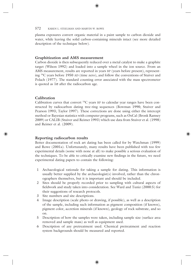plasma exposures convert organic material in a paint sample to carbon dioxide and water, while leaving the solid carbon - containing minerals intact (see more detailed description of the technique below).

⊕

## **Graphitization and AMS measurement**

Carbon dioxide is then subsequently reduced over a metal catalyst to make a graphite target (Wilson 1992) and loaded into a sample wheel in the ion source. From an AMS measurement, results are reported in years BP (years before present), representing  $^{14}$ C years before 1950 AD (time zero), and follow the conventions of Stuiver and Polach (1977) . The standard counting error associated with the mass spectrometer is quoted as  $1\sigma$  after the radiocarbon age.

## **Calibration**

Calibration curves that convert  $^{14}$ C years BP to calendar year ranges have been constructed by radiocarbon dating tree-ring sequences (Bowman 1990; Stuiver and Pearson 1993; Taylor 1997). These corrections are done using either the intercept method or Bayesian statistics with computer programs, such as OxCal (Bronk Ramsey 2009 ) or CALIB (Stuiver and Reimer 1993 ) which use data from Stuiver et al. (1998) and Reimer et al. (2009).

### **Reporting radiocarbon results**

Better documentation of rock art dating has been called for by Watchman (1999) and Rowe (2001a). Unfortunately, many results have been published with too few experimental details (some with none at all) to make possible a serious evaluation of the techniques. To be able to critically examine new findings in the future, we need experimental dating papers to contain the following:

⊕

- 1 Archaeological rationale for taking a sample for dating. This information is usually better supplied by the archaeologist(s) involved, rather than the chronographers themselves, but it is important and should be included.
- 2 Sites should be properly recorded prior to sampling with cultural aspects of fieldwork and study taken into consideration. See Ward and Tuniz (2000:5) for their suggestions of research protocols.
- 3 Site numbers and site descriptions.
- 4 Image description (scale photo or drawing, if possible), as well as a description of the sample, including such information as pigment composition (if known), pigment color, accretion minerals (if known), geology of rock substrate, and so on.
- 5 Description of how the samples were taken, including sample size (surface area removed and sample mass) as well as equipment used.
- 6 Description of any pretreatment used. Chemical pretreatment and reaction system backgrounds should be measured and reported.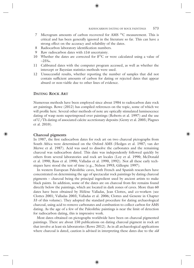7 Microgram amounts of carbon recovered for AMS 14C measurement. This is critical and has been generally ignored in the literature so far. This can have a strong effect on the accuracy and reliability of the dates.

⊕

- 8 Radiocarbon laboratory identification numbers.
- 9 Raw radiocarbon dates with  $\pm 1\sigma$  uncertainty.
- 10 Whether the dates are corrected for  $\delta^{13}$ C or were calculated using a value of  $-25\%$
- 11 Calibrated dates with the computer program accessed, as well as whether the intercept or Bayesian statistics methods were used.
- 12 Unsuccessful results, whether reporting the number of samples that did not contain sufficient amounts of carbon for dating or rejected dates that appear absurd or non-viable due to other lines of evidence.

# **DATING ROCK ART**

Numerous methods have been employed since about 1984 to radiocarbon date rock art paintings. Rowe  $(2012)$  has compiled references on the topic, some of which we will profile here. Several other methods of note are optically stimulated luminescence dating of wasp nests superimposed over paintings (Roberts et al. 1997 ) and the use of U/Th dating of associated calcite accretionary deposits (Genty et al. 2005 ; Plagnes et al. 2010).

### **Charcoal pigments**

In 1987, the first radiocarbon dates for rock art on two charcoal pictographs from South Africa were determined on the Oxford AMS (Hedges et al. 1987; van der Merwe et al. 1987 ). Acid was used to dissolve the carbonates and the remaining charcoal was radiocarbon dated. This date was independently followed quickly by others from several laboratories and rock art locales (Loy et al. 1990; McDonald et al. 1990; Russ et al. 1990; Valladas et al. 1990, 1992). Not all these early techniques have stood the test of time (e.g., Nelson 1993; Gillespie 1997).

In western European Paleolithic caves, both French and Spanish researchers have concentrated on determining the age of spectacular rock paintings by dating charcoal pigments –charcoal being the principal ingredient used by ancient artists to make black paints. In addition, some of the dates are on charcoal from fire remains found directly below the paintings, which are located in dark zones of caves. More than 60 dates have been obtained by Hélène Valladas, Jean Clottes, and co-workers (see Clottes 2001; Valladas 2003; Valladas et al. 2006; Clottes and Geneste in Chapter 33of this volume). They adopted the standard procedure for dating archaeological charcoal, using acid to remove carbonates and combustion to collect carbon for AMS dating. As the age of a few of the Paleolithic paintings is near the limit of detection for radiocarbon dating, this is impressive work.

Most dates obtained on pictographs worldwide have been on charcoal pigmented paintings. There are about 150 publications on dating charcoal pigment in rock art that involve at least six laboratories (Rowe 2012 ). As in all archaeological applications where charcoal is dated, caution is advised in interpreting these dates due to the *old*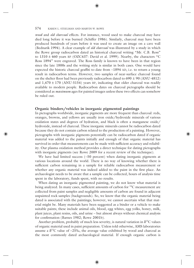# 574 KAREN L. STEELMAN AND MARVIN W. ROWE

*wood* and *old charcoal* effects. For instance, wood used to make charcoal may have died long before it was burned (Schiffer 1986 ). Similarly, charcoal may have been produced hundreds of years before it was used to create an image on a cave wall (Bednarik 1994). A clear example of *old charcoal* was illustrated by a study in which the Rowe group radiocarbon dated an historical charcoal writing "Mr. C.B. Ross" to  $1310 \pm 460$  years BP (OZC437: David et al. 1999). Nearby, the characters "C Ross 1894" were engraved. The Ross family is known to have been in that region since the late 1800s and the writing style is similar in both cases. One would have expected the historic charcoal graffiti to date from ∼1894 AD, i.e. to return a young result in radiocarbon terms. However, two samples of near-surface charcoal found on the shelter floor had been previously radiocarbon dated to  $690 \pm 90$  (ANU-4812) and  $1,470 \pm 170$  (ANU-5154) years BP, indicating that older charcoal was readily available to modern people. Radiocarbon dates on charcoal pictographs should be considered as *maximum* ages for painted images unless these two effects can somehow be ruled out.

## **Organic binders/vehicles in inorganic pigmented paintings**

In pictographs worldwide, inorganic pigments are more frequent than charcoal: reds, oranges, browns, and yellows are usually iron oxide/hydroxide minerals of various oxidation states and degrees of hydration, and black is often a manganese oxide/ hydroxide, instead of charcoal. These inorganic minerals cannot be radiocarbon dated because they do not contain carbon related to the production of a painting. However, pictographs with inorganic pigments potentially can be radiocarbon dated if organic material was added to the paints initially and enough of that organic material has survived in order that measurements can be made with sufficient accuracy and reliability. Our plasma oxidation method provides a direct technique for dating pictographs with inorganic pigments (see Rowe 2009 for a recent review of the technique).

⊕

We have had limited success ( $~50$  percent) when dating inorganic pigments at various locations around the world. There is no way of knowing whether there is sufficient carbon remaining in a sample for reliable radiocarbon measurement or whether any organic material was indeed added to the paint in the first place. An archaeologist needs to be aware that a sample can be collected, hours of analysis time spent in the laboratory, funds spent, with no results.

When dating an inorganic pigmented painting, we do not know what material is being analyzed. In many cases, sufficient amounts of carbon for  $^{14}C$  measurement are collected from paint samples and negligible amounts of carbon are found in adjacent unpainted rock samples (backgrounds). So, we know that the organic material being dated is associated with the paintings; however, we cannot ascertain what that material might be. Many materials have been suggested as a binder or a vehicle to make suitable paints; these include animal oils, blood, egg whites, egg yolks, honey, milk, plant juices, plant resins, oils, and urine –but almost always without chemical analysis for confirmation (Barnes 1982; Rowe 2001b).

Another problem, probably of much less severity, is natural variation in  $\delta^{13}C$  values of organic material used in paint preparation. Unless told otherwise, AMS laboratories assume a  $\delta^{13}$ C value of −25‰, the average value exhibited by wood and charcoal as the most commonly dated archaeological material. If enough organic carbon is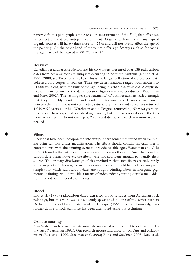

#### RADIOCARBON DATING OF ROCK PAINTINGS 575

⊕

removed from a pictograph sample to allow measurement of the  $\delta^{13}C$ , that effect can be corrected by stable isotope measurement. Organic carbon from many typical organic sources will have values close to − 25 ‰and will not overly affect the age of the painting. On the other hand, if the values differ significantly (such as for cacti), the age may well be skewed ~100<sup>14</sup>C years BP.

## **Beeswax**

Canadian researcher Erle Nelson and his co - workers presented over 135 radiocarbon dates from beeswax rock art, uniquely occurring in northern Australia (Nelson et al. 1995, 2000; see Taçon et al. 2010). This is the largest collection of radiocarbon data collected on a corpus of rock art. Their age determinations ranged from modern to ∼4,000 years old, with the bulk of the ages being less than 750 years old. A duplicate measurement for one of the dated beeswax figures was also conducted (Watchman and Jones 2002). The techniques (pretreatments) of both researchers varied enough that they probably constitute independent determinations. However, agreement between their results was not completely satisfactory: Nelson and colleagues returned  $4,040 \pm 90$  years BP, while Watchman and colleagues returned  $4,460 \pm 80$  years BP. One would have expected statistical agreement, but even when calibrated the two radiocarbon results do not overlap at 2 standard deviations; so clearly more work is needed.

#### **Fibers**

Fibers that have been incorporated into wet paint are sometimes found when examining paint samples under magnification. The fibers should contain material that is contemporary with the painting event to provide reliable ages. Watchman and Cole (1993) found sufficient fibers in paint samples from northeastern Australia to radiocarbon date them; however, the fibers were not abundant enough to identify their source. The primary disadvantage of this method is that such fibers are only rarely found in paints. A thorough search under magnification should be made for any paint samples for which radiocarbon dates are sought. Finding fibers in inorganic pigmented paintings would provide a means of independently testing our plasma oxidation method for mineral-based paints.

### **Blood**

Loy et al. (1990) radiocarbon dated extracted blood residues from Australian rock paintings, but this work was subsequently questioned by one of the senior authors (Nelson 1993) and by the later work of Gillespie (1997). To our knowledge, no further dating of rock paintings has been attempted using this technique.

## **Oxalate coatings**

Alan Watchman has used oxalate minerals associated with rock art to determine relative ages (Watchman 1991 ). Our research groups and those of Jon Russ and collaborators (Russ et al. 1999; Steelman et al. 2002; Rowe and Steelman 2003; Ruiz et al.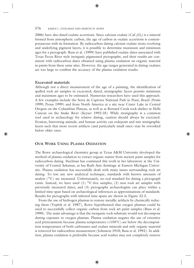2006) have also dated oxalate accretions. Since calcium oxalate ( $CaC<sub>2</sub>O<sub>4</sub>$ ) is a mineral formed from atmospheric carbon, the age of carbon in oxalate accretions is contemporaneous with its formation. By radiocarbon dating calcium oxalate strata overlying and underlying pigment layers, it is possible to determine maximum and minimum ages for a pictograph. Russ et al. (1999) have published oxalate dates associated with Texas Pecos River style inorganic pigmented pictographs; and their results are consistent with radiocarbon dates obtained using plasma oxidation on organic material in paints from these same sites. However, the age ranges generated in dating oxalates are too large to confirm the accuracy of the plasma oxidation results.

⊕

### **Excavated materials**

⊕

Although not a direct measurement of the age of a painting, the identification of spalled rock art samples in excavated, dated, stratigraphic layers permits minimum and maximum ages to be estimated. Numerous researchers have used this approach. A few examples include the Serra de Capivara National Park in Piauí, Brazil (Pessis 1999 ; Prous 1999 ) and from North America at a site near Crater Lake in Central Oregon on the Columbian Plateau, as well as at Bernard Creek rock - shelter in Hells Canyon on the Snake River (Keyser 1992:18). While stratigraphy is a common tool used in archaeology for relative dating, caution should always be exercised. Erosion, burrowing animals, and human activity can redeposit and mix stratigraphic layers such that more recent artifacts (and particularly small ones) may be reworked below older ones.

⊕

## **OUR WORK USING PLASMA OXIDATION**

The Rowe archaeological chemistry group at Texas A&M University developed the method of plasma oxidation to extract organic matter from ancient paint samples for radiocarbon dating. Steelman has continued this work in her laboratory at the University of Central Arkansas, as has Ruth Ann Armitage at Eastern Michigan University. Plasma oxidation has successfully dealt with many issues surrounding rock art dating. To test any new analytical technique, standards with known amounts of analyte  $(^{14}C)$  are measured. Unfortunately, no real standard for dating a pictograph exists. Instead, we have used  $(1)$  <sup>14</sup>C-free samples;  $(2)$  non rock art samples with previously measured dates; and (3) pictographs archaeologists can place within a limited time - span based on archaeological inferences as approximations of standards. Results for pictographs with inferred time-spans are shown in Figure 32.3.

From the use of hydrogen plasmas to restore metallic artifacts by chemically reducing them (Vepřek et al. 1987), Rowe hypothesized that oxygen plasmas could be used to successfully collect organic carbon from rock art paint samples (Russ et al. 1990 ). The main advantage is that the inorganic rock substrate would not decompose during exposure to oxygen plasmas. Plasma oxidation negates the use of extensive acid pretreatments because plasma temperatures  $\left($  <150 $\degree$ C) are below the decomposition temperatures of both carbonates and oxalate minerals and only organic material is removed for radiocarbon measurement (Johnston 1910; Russ et al. 1992). In addition, plasma oxidation is preferable because acid washes may not completely remove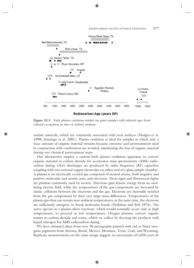

⊕

Radiocarbon Age (years BP)

**Figure 32.3** Early plasma oxidation studies on paint samples with inferred ages from cultural occupation at sites or stylistic analyses.

⊕

oxalate minerals, which are commonly associated with rock surfaces (Hedges et al. 1998; Armitage et al. 2001). Plasma oxidation is ideal for samples in which only a trace amount of organic material remains because extensive acid pretreatments used in conjunction with combustion are avoided, minimizing the loss of organic material during wet chemical pretreatment steps.

Our laboratories employ a custom-built plasma oxidation apparatus to convert organic material to carbon dioxide for accelerator mass spectrometry (AMS) radiocarbon dating. Glow discharges are produced by radio frequency (RF) capacitive coupling with two external copper electrodes on either end of a glass sample chamber. A plasma is an electrically excited gas composed of neutral atoms, both negative and positive molecular and atomic ions, and electrons. Neon signs and fluorescent lights are plasmas commonly used by society. Electrons gain kinetic energy from an oscillating electric field, while the temperatures of the gas components are increased by elastic collisions between the electrons and the gas. Electrons are thermally isolated from the gas components by their very large mass differences. Temperatures of the plasma gas thus can remain near ambient temperatures; at the same time, the electrons are sufficiently energetic to break molecular bonds (Hollahan and Bell 1974). The active species in a plasma allow reactions, which would normally occur only at high temperatures, to proceed at low temperatures. Oxygen plasmas convert organic matter to carbon dioxide and water, which we collect by freezing the products with liquid nitrogen for AMS radiocarbon dating.

We have obtained dates from over 30 pictographs painted with red or black inorganic pigments from Arizona, Brazil, Mexico, Montana, Texas, Utah, and Wyoming. Replicate measurements on the same image suggest an uncertainty of  $\pm 250$  years BP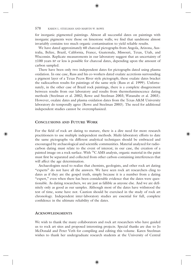for inorganic pigmented paintings. Almost all successful dates on paintings with inorganic pigments were those on limestone walls; we find that sandstone almost invariably contains too much organic contamination to yield reliable results.

⊕

We have dated approximately 60 charcoal pictographs from Angola, Arizona, Australia, Belize, Brazil, California, France, Guatemala, Missouri, Texas, Utah, and Wisconsin. Replicate measurements in our laboratory suggest that an uncertainty of ±100 years BP or less is possible for charcoal dates, depending upon the amount of carbon sampled.

There have been only two independent dates for pictographs dated using plasma oxidation. In one case, Russ and his co - workers dated oxalate accretions surrounding a pigment layer of a Texas Pecos River style pictograph; these oxalate dates bracket the radiocarbon results for paintings of the same style (Russ et al. 1999 ). Unfortunately, in the other case of Brazil rock paintings, there is a complete disagreement between results from our laboratory and results from thermoluminescence dating methods (Steelman et al. 2002; Rowe and Steelman 2003; Watanabe et al. 2003). However, oxalate dates and plasma oxidation dates from the Texas A&M University laboratory do temporally agree (Rowe and Steelman 2003 ). The need for additional independent studies cannot be overemphasized.

## **CONCLUSIONS AND FUTURE WORK**

For the field of rock art dating to mature, there is a dire need for more research practitioners to use multiple independent methods. Multi-laboratory efforts to date the same pictographs via different analytical techniques should be embraced and encouraged by archaeological and scientific communities. Material analyzed for radiocarbon dating must relate to the event of interest; in our case, the creation of a painted image on a rock surface. With 14C AMS analysis, organic material in the paint must first be separated and collected from other carbon-containing interferences that will affect the age determination.

⊕

Archaeologists need to realize that chemists, geologists, and other rock art dating " experts "do not have all the answers. We have seen rock art researchers cling to dates as if they are the gospel truth, simply because it is a number from a dating " expert," even when there has been considerable evidence that the dates were questionable. As dating researchers, we are just as fallible as anyone else. And we are definitely only as good as our samples. Although most of the dates have withstood the test of time, some have not. Caution should be exercised in the study of rock art chronology. Independent inter-laboratory studies are essential for full, complete confidence in the ultimate reliability of the dates.

### **ACKNOWLEDGMENTS**

We wish to thank the many collaborators and rock art researchers who have guided us to rock art sites and proposed interesting projects. Special thanks are due to Jo McDonald and Peter Veth for compiling and editing this volume. Karen Steelman wishes to thank her undergraduate research students at the University of Central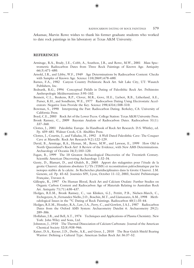Arkansas; Marvin Rowe wishes to thank his former graduate students who worked to date rock paintings in his laboratory at Texas A&M University.

⊕

### **REFERENCES**

- Armitage, R.A., Brady, J.E., Cobb, A., Southon, J.R., and Rowe, M.W., 2001 Mass Spectrometric Radiocarbon Dates from Three Rock Paintings of Known Age . Antiquity  $66(3):471-480.$
- Arnold, J.R., and Libby, W.F., 1949 Age Determinations by Radiocarbon Content: Checks with Samples of Known Age. Science 110(2869):678-680.
- Barnes, F.A., 1982 Canyon Country Prehistoric Rock Art. Salt Lake City, UT: Wasatch Publishers, Inc.
- Bednarik, R.G., 1994 Conceptual Pitfalls in Dating of Paleolithic Rock Art. Préhistoire Anthropologie Méditerranéenes 3:95-102.
- Bennett, C.L., Beukens, R.P., Clover, M.R., Gove, H.E., Liebert, R.B., Litherland, A.E., Purser, K.H., and Sondheim, W.E., 1977 Radiocarbon Dating Using Electrostatic Accelerators: Negative Ions Provide the Key. Science 198(4316):508–510.
- Bowman, S., 1990 Interpreting the Past: Radiocarbon Dating. Berkeley, CA: University of California Press.
- Boyd, C.E., 2003 Rock Art of the Lower Pecos. College Station: Texas A&M University Press.
- Bronk Ramsey, C., 2009 Bayesian Analysis of Radiocarbon Dates. Radiocarbon 51(1): 337 – 360.
- Clottes, J., 2001 Paleolithic Europe. *In* Handbook of Rock Art Research. D.S. Whitley, ed. Pp. 459–481. Walnut Creek, CA: AltaMira Press.
- Clottes , J. , Courtin , J. , and Valladas , H. , 1992 A Well Dated Paleolithic Cave: The Cosquer Cave at Marseille. Rock Art Research 9(2):122-129.
- David, B., Armitage, R.A., Hyman, M., Rowe, M.W., and Lawson, E., 1999 How Old is North Queensland's Rock-Art? A Review of the Evidence, with New AMS Determinations. Archaeology of Oceania 34(3):103-120.
- Fagan, B., 1999 The 10 Greatest Archaeological Discoveries of the Twentieth Century. Scientific American Discovering Archaeology 1:32-34.
- Genty, D., Blamart, D., and Ghaleb, B., 2005 Apport des stalagmites pour l'étude de la grotte Chauvet: datations absolutes  $U/Th$  (TIMS) et reconstitution paléoclimatique par les isotopes stables de la calcite. *In* Recherches pluridisciplinaires dans la Grotte Chauvet. J.M. Geneste, ed. Pp. 45-62. Journées SPF, Lyon, October 11-12, 2003, Société Préhistorique Française, Travaux 6.
- Gillespie, R., 1997 On Human Blood, Rock Art and Calcium Oxalate: Further Studies on Organic Carbon Content and Radiocarbon Age of Materials Relating to Australian Rock Art. Antiquity 71(71):430–437.
- Hedges, R.E.M., Bronk Ramsey, C., van Klinken, G.J., Pettitt, P.B., Nielsen-March, C., Etchegoyen, A., Fernandez Niello, J.O., Boschin, M.T., and Llamazares, A.M., 1998 Methodological Issues in the <sup>14</sup>C Dating of Rock Paintings. Radiocarbon  $40(1)$ : 35–44.
- Hedges, R.E.M., Housley, R.A., Law, I.A., Perry, C., and Gowlett, J.A.J., 1987 Radiocarbon Dates from the Oxford AMS System: Archaeometry Datelist 6. Archaeometry 29(2): 289-306.
- Hollahan, J.R., and Bell, A.T., 1974 Techniques and Applications of Plasma Chemistry. New York: John Wiley and Sons, Ltd.
- Johnston, J., 1910 The Thermal Dissociation of Calcium Carbonate. Journal of the American Chemical Society 32(8):938-946.
- Kaiser, D.A., Keyser, J.D., Derby, A.K., and Greer, J., 2010 The Bear Gulch Shield Bearing Warrior: Defining a Cultural Type. American Indian Rock Art 36:37-52.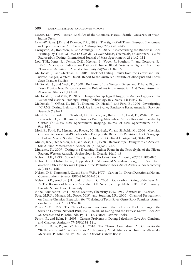Keyser, J.D., 1992 Indian Rock Art of the Columbia Plateau. Seattle: University of Washington Press .

⊕

- Lewis-Williams, J.D., and Dowson, T.A., 1988 The Signs of All Times: Entoptic Phenomena in Upper Paleolithic Art. Current Anthropology 29(2):201–245.
- Livingston, A., Robinson, E., and Armitage, R.A., 2009 Characterizing the Binders in Rock Paintings by THM - GC - MS: La Casa de Las Golondrinas, Guatemala, a Cautionary Tale for Radiocarbon Dating. International Journal of Mass Spectrometry 284:142–151.
- Loy, T.H., Jones, R., Nelson, D.E., Meehan, B., Vogel, J., Southon, J., and Cosgrove, R., 1990 Accelerator Radiocarbon Dating of Human Blood Proteins in Pigment from Late Pleistocene Art Sites in Australia. Antiquity 64(242):110-116.
- McDonald, J., and Steelman, K., 2008 Rock Art Dating Results from the Calvert and Carnarvon Ranges, Western Desert . Report to the Australian Institute of Aboriginal and Torres Strait Islander Studies.
- McDonald, J., and Veth, P., 2008 Rock-Art of the Western Desert and Pilbara: Pigment Dates Provide New Perspectives on the Role of Art in the Australian Arid Zone . Australian Aboriginal Studies  $1(1):4-21$ .
- McDonald, J., and Veth, P., 2009 Dampier Archipelago Petroglyphs: Archaeology, Scientific Values and National Heritage Listing. Archaeology in Oceania 44(44):49-69.
- McDonald, J., Officer, K., Jull, T., Donahue, D., Head, J., and Ford, B., 1990 Investigating <sup>14</sup>C AMS: Dating Prehistoric Rock Art in the Sydney Sandstone Basin. Australian Rock Art Research 7:83-92.
- Mazel, V., Richardin, P., Touboul, D., Brunelle, A., Richard, C., Laval, E., Walter, P., and Laprevote, O., 2010 Animal Urine as Painting Materials in African Rock Art Revealed by Cluster ToF-SIMS Mass Spectrometry Imaging. Journal of Mass Spectrometry 45(8):  $944 - 950.$
- Mori, F., Ponti, R., Messina, A., Flieger, M., Havlicek, V., and Sinibaldi, M., 2006 Chemical Characterization and AMS Radiocarbon Dating of the Binder of a Prehistoric Rock Pictograph at Tadrart Acacus, Southern West Libya. Journal of Cultural Heritage 7(4):344-349.

⊕

- Muller, R.A., Stephenson, E.J., and Mast, T.S., 1978 Radioisotope Dating with an Accelerator: A Blind Measurement. Science 201(4353):347-348.
- Mulvaney , K. , 2009 Dating the Dreaming: Extinct Fauna in the Petroglyphs of the Pilbara Region, Western Australia. Archaeology in Oceania 44:40-48.
- Nelson, D.E., 1993 Second Thoughts on a Rock-Art Date. Antiquity 67(257):893-895.
- Nelson, D.E., Chaloupka, G., Chippindale, C., Alderson, M.S., and Southon, J.R., 1995 Radiocarbon Dates for Beeswax Figures in the Prehistoric Rock Art of Australia . Archaeometry  $37(1):151 - 156.$
- Nelson, D.E., Korteling R.G., and Stott, W.R., 1977 Carbon-14: Direct Detection at Natural Concentrations. Science 198(4316):507-508.
- Nelson, D.E., Southon, J.R., and Takahashi, C., 2000 Radiocarbon Dating of the Wax Art. *In* The Beeswax of Northern Australia. D.E. Nelson, ed. Pp. 44-63. CD-ROM. Burnaby, Canada: Simon Fraser University.
- Nobel Foundation 1964 Nobel Lectures, Chemistry 1942-1962. Amsterdam: Elsevier.
- Pace, M.F.N., Hyman, M., Rowe, M.W., and Southon, J.R., 2000 Chemical Pretreatment on Plasma - Chemical Extraction for 14C dating of Pecos River Genre Rock Paintings . American Indian Rock Art 24:95-102.
- Pessis, A.-M., 1999 The Chronology and Evolution of the Prehistoric Rock Paintings in the Serra de Capivara National Park, Piauí, Brazil. *In* Dating and the Earliest Known Rock Art. M. Strecker and P. Bahn, eds. Pp. 41–47. Oxford: Oxbow Books.
- Pettitt, P., and Bahn, P., 2003 Current Problems in Dating Paleolithic Cave Art: Candamo and Chauvet. Antiquity 77(295):134-141.
- Pettitt, P., Bahn, P., and Züchner, C., 2010 The Chauvet Conundrum: Are Claims for the "Birthplace of Art" Premature? *In* An Enquiring Mind: Studies in Honor of Alexander Marshack. P. Bahn, ed. Pp. 253-278. Oxford: Oxbow Books.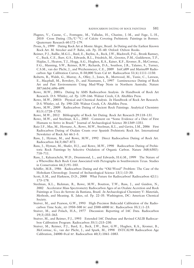Plagnes, V., Causse, C., Fontugne, M., Valladas, H., Chazine, J.-M., and Fage, L.-H., 2010 Cross Dating  $(Th/U<sup>-14</sup>C)$  of Calcite Covering Prehistoric Paintings in Borneo. Quaternary Research 60:172-179.

⊕

- Prous , A. , 1999 Dating Rock Art at Monte Alegre, Brazil . *In* Dating and the Earliest Known Rock Art. M. Strecker and P. Bahn, eds. Pp. 35-40. Oxford: Oxbow Books.
- Reimer, P.J., Baillie, M.G.L., Bard, E., Bayliss, A., Beck, J.W., Blackwell, P.G., Bronk Ramsey, C., Buck, C.E., Burr, G.S., Edwards, R.L., Friedrich, M., Grootes, P.M., Guilderson, T.P., Hajdas, I., Heaton, T.J., Hogg, A.G., Hughen, K.A., Kaiser, K.F., Kromer, B., McCormac, F.G., Manning, S.W., Reimer, R.W., Richards, D.A., Southon, J.R., Talamo, S., Turney, C.S.M. , van der Plicht , J. , and Weyhenmeyer , C.E. , 2009 IntCal09 and Marine09 Radiocarbon Age Calibration Curves, 0–50,000 Years Cal BP. Radiocarbon 51(4):1111-1150.
- Roberts, R., Walsh, G., Murray, A., Olley, J., Jones, R., Morwood, M., Tuniz, C., Lawson, E., Macphall, M., Bowdery, D., and Naumann, I., 1997 Luminescence Dating of Rock Art and Past Environments Using Mud-Wasp Nests in Northern Australia. Nature 387 ( 6634 ): 696 –699 .
- Rowe, M.W., 2001a Dating by AMS Radiocarbon Analysis. *In* Handbook of Rock Art Research. D.S. Whitley, ed. Pp. 139–166. Walnut Creek, CA: AltaMira Press.
- Rowe, M.W., 2001b Physical and Chemical Analysis. *In* Handbook of Rock Art Research. D.S. Whitley, ed. Pp. 190-220. Walnut Creek, CA: AltaMira Press.
- Rowe, M.W., 2009 Radiocarbon Dating of Ancient Rock Paintings. Analytical Chemistry  $81(5):1728-1735.$
- Rowe, M.W., 2012 Bibliography of Rock Art Dating. Rock Art Research 29:118-131.
- Rowe, M.W., and Steelman, K.L., 2003 Comment on "Some Evidence of a Date of First Humans to Arrive in Brazil." Journal of Archaeological Science 30:1349-1351.
- Ruiz J.F., Mas, M., Hernanz, A., Rowe, M.W., Steelman, K.L., and Gavira, J.M., 2006 First Radiocarbon Dating of Oxalate Crusts over Spanish Prehistoric Rock Art. International Newsletter of Rock Art 46:1-5.
- Russ, J., Hyman, M., and Rowe, M.W., 1992 Direct Radiocarbon Dating of Rock Art. Radiocarbon 34(3):867-872.
- Russ, J., Hyman, M., Shafer, H.J., and Rowe, M.W., 1990 Radiocarbon Dating of Prehistoric Rock Paintings by Selective Oxidation of Organic Carbon. Nature 348(6303): 710 – 711.
- Russ, J., Kaluarachchi, W.D., Drummond, L., and Edwards, H.G.M., 1999 The Nature of a Whewellite - Rich Rock Crust Associated with Pictographs in Southwestern Texas . Studies in Conservation  $44(2):91-103$ .
- Schiffer, M.B., 1986 Radiocarbon Dating and the "Old Wood" Problem: The Case of the Hohokam Chronology. Journal of Archaeological Science 13(1):13-30.
- Scott, E.M., and Harkness, D.D., 2000 What Future for Radiocarbon? Radiocarbon  $42(1)$ : 173-178.
- Steelman, K.L., Rickman, R., Rowe, M.W., Boutton, T.W., Russ, J., and Guidon, N., 2002 Accelerator Mass Spectrometry Radiocarbon Ages of an Oxalate Accretion and Rock Paintings at Toca do Serrote da Bastiana, Brazil . *In* Archaeological Chemistry V: Materials, Methods, and Meaning. K. Jakes, ed. Pp. 22-35. Washington, DC: American Chemical Society.
- Stuiver, M., and Pearson, G.W., 1993 High-Precision Bidecadal Calibration of the Radiocarbon Time Scale, AD 1950–500 BC and  $2500-6000$  BC. Radiocarbon  $35(1):1-23$ .
- Stuiver, M., and Polach, H.A., 1977 Discussion: Reporting of 14C Data. Radiocarbon  $19(3)$ : 355-363.
- Stuiver, M., and Reimer, P.J., 1993 Extended 14C Database and Revised CALIB Radiocarbon Calibration Program. Radiocarbon  $35(1):215-230$ .
- Stuiver, M., Reimer, P.J., Bard, E., Beck, J.W., Burr, G.W., Hughen, K.A., Kromer, B., McCormac, G., van der Plicht, J., and Spurk, M., 1998 INTCAL98 Radiocarbon Age Calibration, 24000-0 cal BP. Radiocarbon 40(3):1041-1083.